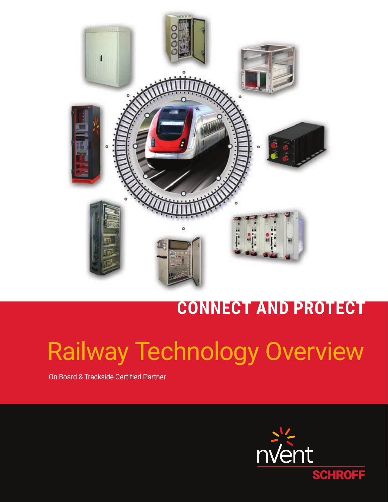

## **CONNECT AND PROTECT**

# Railway Technology Overview

On Board & Trackside Certified Partner

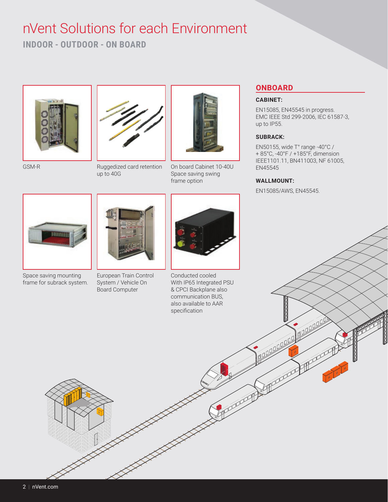### nVent Solutions for each Environment

**INDOOR - OUTDOOR - ON BOARD**



GSM-R



Ruggedized card retention up to 40G



On board Cabinet 10-40U Space saving swing frame option



Space saving mounting frame for subrack system.



European Train Control System / Vehicle On Board Computer



Conducted cooled With IP65 Integrated PSU & CPCI Backplane also communication BUS, also available to AAR specification

#### **ONBOARD**

#### **CABINET:**

EN15085, EN45545 in progress. EMC IEEE Std 299-2006, IEC 61587-3, up to IP55.

#### **SUBRACK:**

EN50155, wide T° range -40°C / + 85°C, -40°F / +185°F, dimension IEEE1101.11, BN411003, NF 61005, EN45545

#### **WALLMOUNT:**

EN15085/AWS, EN45545.

**COLORED AND AND READY** 

**COLORING**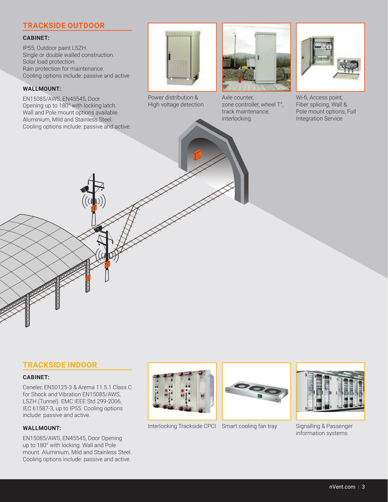#### **TRACKSIDE OUTDOOR**

#### **CABINET:**

IP55, Outdoor paint LSZH. Single or double walled construction. Solar load protection. Rain protection for maintenance. Cooling options include: passive and active

#### **WALLMOUNT:**

EN15085/AWS, EN45545, Door Opening up to 180° with locking latch. Wall and Pole mount options available. Aluminium, Mild and Stainless Steel. Cooling options include: passive and active.



Power distribution & High voltage detection



Axle counter, zone controller, wheel T°, track maintenance, interlocking.



Wi-fi, Access point, Fiber splicing, Wall & Pole mount options, Full Integration Service

#### **TRACKSIDE INDOOR**

#### **CABINET:**

Cenelec EN50125-3 & Arema 11.5.1 Class C for Shock and Vibration EN15085/AWS, LSZH (Tunnel). EMC IEEE Std 299-2006, IEC 61587-3, up to IP55. Cooling options include: passive and active.

#### **WALLMOUNT:**

EN15085/AWS, EN45545, Door Opening up to 180° with locking. Wall and Pole mount. Aluminium, Mild and Stainless Steel. Cooling options include: passive and active.



Interlocking Trackside CPCI Smart cooling fan tray





Signalling & Passenger information systems